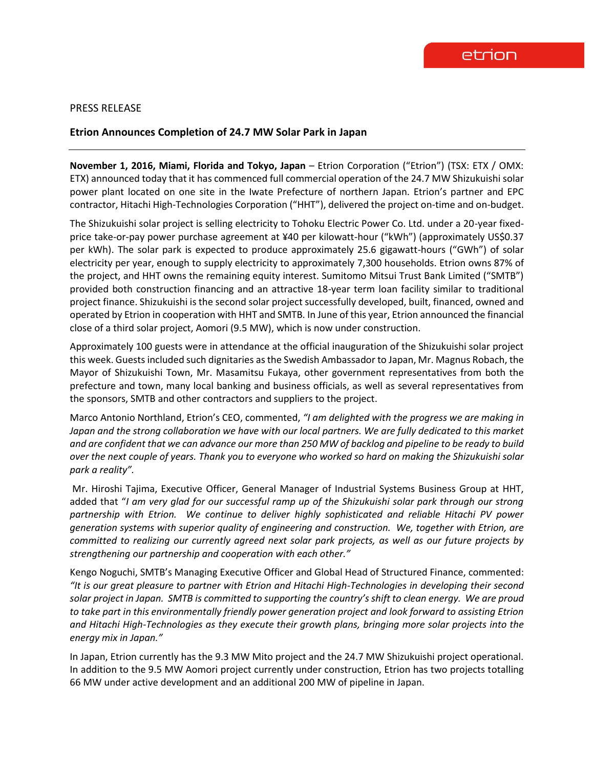

## PRESS RELEASE

## **Etrion Announces Completion of 24.7 MW Solar Park in Japan**

**November 1, 2016, Miami, Florida and Tokyo, Japan** – Etrion Corporation ("Etrion") (TSX: ETX / OMX: ETX) announced today that it has commenced full commercial operation of the 24.7 MW Shizukuishi solar power plant located on one site in the Iwate Prefecture of northern Japan. Etrion's partner and EPC contractor, Hitachi High-Technologies Corporation ("HHT"), delivered the project on-time and on-budget.

The Shizukuishi solar project is selling electricity to Tohoku Electric Power Co. Ltd. under a 20-year fixedprice take-or-pay power purchase agreement at ¥40 per kilowatt-hour ("kWh") (approximately US\$0.37 per kWh). The solar park is expected to produce approximately 25.6 gigawatt-hours ("GWh") of solar electricity per year, enough to supply electricity to approximately 7,300 households. Etrion owns 87% of the project, and HHT owns the remaining equity interest. Sumitomo Mitsui Trust Bank Limited ("SMTB") provided both construction financing and an attractive 18-year term loan facility similar to traditional project finance. Shizukuishi is the second solar project successfully developed, built, financed, owned and operated by Etrion in cooperation with HHT and SMTB. In June of this year, Etrion announced the financial close of a third solar project, Aomori (9.5 MW), which is now under construction.

Approximately 100 guests were in attendance at the official inauguration of the Shizukuishi solar project this week. Guests included such dignitaries as the Swedish Ambassador to Japan, Mr. Magnus Robach, the Mayor of Shizukuishi Town, Mr. Masamitsu Fukaya, other government representatives from both the prefecture and town, many local banking and business officials, as well as several representatives from the sponsors, SMTB and other contractors and suppliers to the project.

Marco Antonio Northland, Etrion's CEO, commented, *"I am delighted with the progress we are making in*  Japan and the strong collaboration we have with our local partners. We are fully dedicated to this market *and are confident that we can advance our more than 250 MW of backlog and pipeline to be ready to build over the next couple of years. Thank you to everyone who worked so hard on making the Shizukuishi solar park a reality".*

Mr. Hiroshi Tajima, Executive Officer, General Manager of Industrial Systems Business Group at HHT, added that "*I am very glad for our successful ramp up of the Shizukuishi solar park through our strong partnership with Etrion. We continue to deliver highly sophisticated and reliable Hitachi PV power generation systems with superior quality of engineering and construction. We, together with Etrion, are committed to realizing our currently agreed next solar park projects, as well as our future projects by strengthening our partnership and cooperation with each other."*

Kengo Noguchi, SMTB's Managing Executive Officer and Global Head of Structured Finance, commented: *"It is our great pleasure to partner with Etrion and Hitachi High-Technologies in developing their second solar project in Japan. SMTB is committed to supporting the country's shift to clean energy. We are proud to take part in this environmentally friendly power generation project and look forward to assisting Etrion and Hitachi High-Technologies as they execute their growth plans, bringing more solar projects into the energy mix in Japan."*

In Japan, Etrion currently has the 9.3 MW Mito project and the 24.7 MW Shizukuishi project operational. In addition to the 9.5 MW Aomori project currently under construction, Etrion has two projects totalling 66 MW under active development and an additional 200 MW of pipeline in Japan.